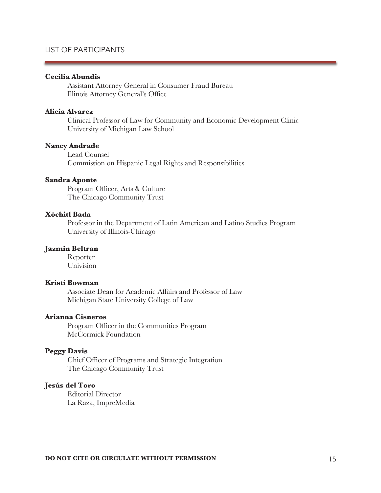#### **Cecilia Abundis**

 Assistant Attorney General in Consumer Fraud Bureau Illinois Attorney General's Office

# **Alicia Alvarez**

Clinical Professor of Law for Community and Economic Development Clinic University of Michigan Law School

#### **Nancy Andrade**

Lead Counsel Commission on Hispanic Legal Rights and Responsibilities

#### **Sandra Aponte**

 Program Officer, Arts & Culture The Chicago Community Trust

# **Xóchitl Bada**

 Professor in the Department of Latin American and Latino Studies Program University of Illinois-Chicago

#### **Jazmin Beltran**

 Reporter Univision

# **Kristi Bowman**

 Associate Dean for Academic Affairs and Professor of Law Michigan State University College of Law

# **Arianna Cisneros**

 Program Officer in the Communities Program McCormick Foundation

## **Peggy Davis**

 Chief Officer of Programs and Strategic Integration The Chicago Community Trust

# **Jesús del Toro**

 Editorial Director La Raza, ImpreMedia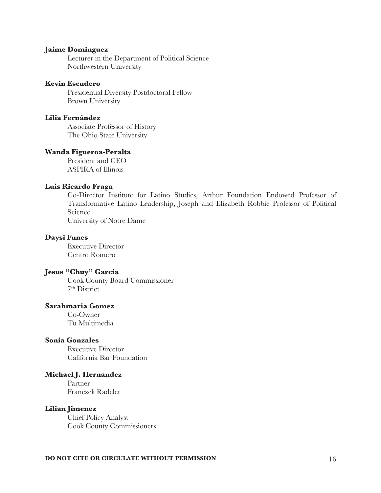#### **Jaime Dominguez**

 Lecturer in the Department of Political Science Northwestern University

#### **Kevin Escudero**

 Presidential Diversity Postdoctoral Fellow Brown University

#### **Lilia Fernández**

Associate Professor of History The Ohio State University

# **Wanda Figueroa-Peralta**

 President and CEO ASPIRA of Illinois

## **Luis Ricardo Fraga**

Co-Director Institute for Latino Studies, Arthur Foundation Endowed Professor of Transformative Latino Leadership, Joseph and Elizabeth Robbie Professor of Political Science

University of Notre Dame

## **Daysi Funes**

 Executive Director Centro Romero

#### **Jesus "Chuy" Garcia**

Cook County Board Commissioner 7th District

# **Sarahmaria Gomez**

 Co-Owner Tu Multimedia

# **Sonia Gonzales**

 Executive Director California Bar Foundation

#### **Michael J. Hernandez**

 Partner Franczek Radelet

#### **Lilian Jimenez**

 Chief Policy Analyst Cook County Commissioners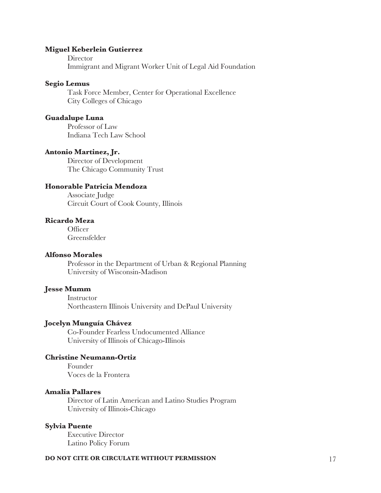### **Miguel Keberlein Gutierrez**

**Director** Immigrant and Migrant Worker Unit of Legal Aid Foundation

#### **Segio Lemus**

Task Force Member, Center for Operational Excellence City Colleges of Chicago

#### **Guadalupe Luna**

 Professor of Law Indiana Tech Law School

#### **Antonio Martinez, Jr.**

Director of Development The Chicago Community Trust

# **Honorable Patricia Mendoza**

 Associate Judge Circuit Court of Cook County, Illinois

# **Ricardo Meza**

 Officer Greensfelder

# **Alfonso Morales**

 Professor in the Department of Urban & Regional Planning University of Wisconsin-Madison

## **Jesse Mumm**

 Instructor Northeastern Illinois University and DePaul University

#### **Jocelyn Munguía Chávez**

Co-Founder Fearless Undocumented Alliance University of Illinois of Chicago-Illinois

# **Christine Neumann-Ortiz**

 Founder Voces de la Frontera

#### **Amalia Pallares**

 Director of Latin American and Latino Studies Program University of Illinois-Chicago

#### **Sylvia Puente**

 Executive Director Latino Policy Forum

#### **DO NOT CITE OR CIRCULATE WITHOUT PERMISSION** 17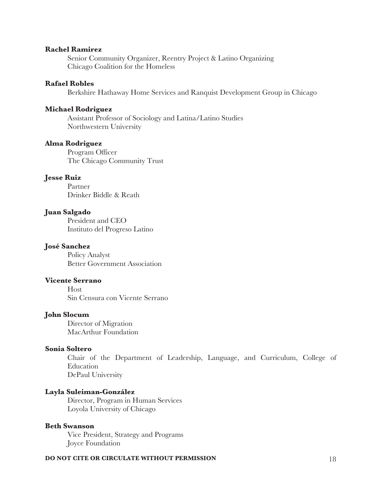#### **Rachel Ramirez**

 Senior Community Organizer, Reentry Project & Latino Organizing Chicago Coalition for the Homeless

# **Rafael Robles**

Berkshire Hathaway Home Services and Ranquist Development Group in Chicago

### **Michael Rodriguez**

Assistant Professor of Sociology and Latina/Latino Studies Northwestern University

#### **Alma Rodriguez**

Program Officer The Chicago Community Trust

## **Jesse Ruiz**

 Partner Drinker Biddle & Reath

# **Juan Salgado**

 President and CEO Instituto del Progreso Latino

# **José Sanchez**

 Policy Analyst Better Government Association

# **Vicente Serrano**

 Host Sin Censura con Vicente Serrano

# **John Slocum**

 Director of Migration MacArthur Foundation

#### **Sonia Soltero**

Chair of the Department of Leadership, Language, and Curriculum, College of Education DePaul University

# **Layla Suleiman-González**

 Director, Program in Human Services Loyola University of Chicago

# **Beth Swanson**

Vice President, Strategy and Programs Joyce Foundation

#### **DO NOT CITE OR CIRCULATE WITHOUT PERMISSION** 18